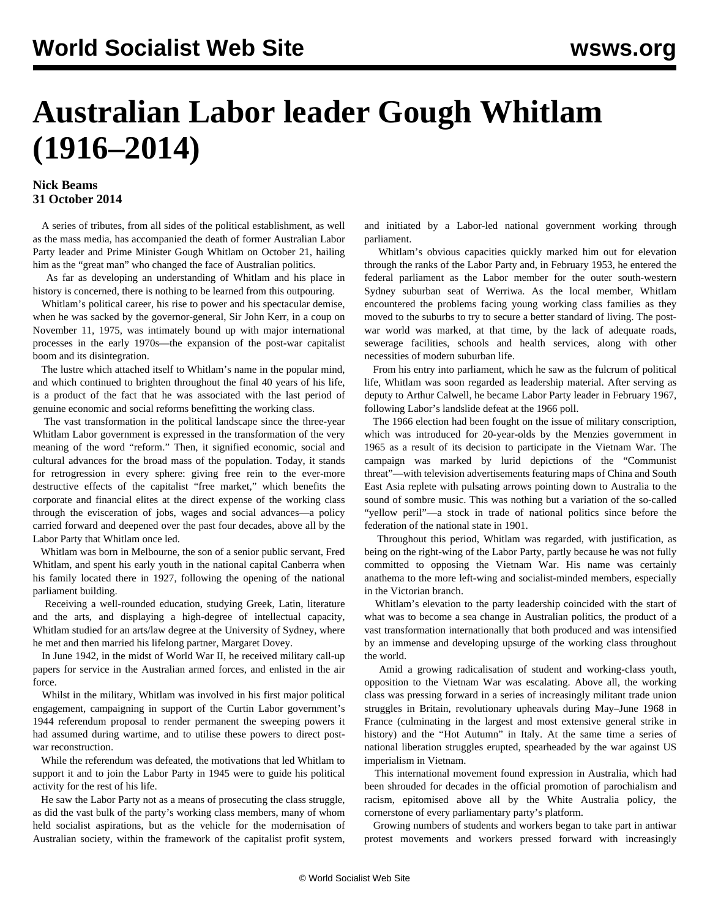## **Australian Labor leader Gough Whitlam (1916–2014)**

## **Nick Beams 31 October 2014**

 A series of tributes, from all sides of the political establishment, as well as the mass media, has accompanied the death of former Australian Labor Party leader and Prime Minister Gough Whitlam on October 21, hailing him as the "great man" who changed the face of Australian politics.

 As far as developing an understanding of Whitlam and his place in history is concerned, there is nothing to be learned from this outpouring.

 Whitlam's political career, his rise to power and his spectacular demise, when he was sacked by the governor-general, Sir John Kerr, in a coup on November 11, 1975, was intimately bound up with major international processes in the early 1970s—the expansion of the post-war capitalist boom and its disintegration.

 The lustre which attached itself to Whitlam's name in the popular mind, and which continued to brighten throughout the final 40 years of his life, is a product of the fact that he was associated with the last period of genuine economic and social reforms benefitting the working class.

 The vast transformation in the political landscape since the three-year Whitlam Labor government is expressed in the transformation of the very meaning of the word "reform." Then, it signified economic, social and cultural advances for the broad mass of the population. Today, it stands for retrogression in every sphere: giving free rein to the ever-more destructive effects of the capitalist "free market," which benefits the corporate and financial elites at the direct expense of the working class through the evisceration of jobs, wages and social advances—a policy carried forward and deepened over the past four decades, above all by the Labor Party that Whitlam once led.

 Whitlam was born in Melbourne, the son of a senior public servant, Fred Whitlam, and spent his early youth in the national capital Canberra when his family located there in 1927, following the opening of the national parliament building.

 Receiving a well-rounded education, studying Greek, Latin, literature and the arts, and displaying a high-degree of intellectual capacity, Whitlam studied for an arts/law degree at the University of Sydney, where he met and then married his lifelong partner, Margaret Dovey.

 In June 1942, in the midst of World War II, he received military call-up papers for service in the Australian armed forces, and enlisted in the air force.

 Whilst in the military, Whitlam was involved in his first major political engagement, campaigning in support of the Curtin Labor government's 1944 referendum proposal to render permanent the sweeping powers it had assumed during wartime, and to utilise these powers to direct postwar reconstruction.

 While the referendum was defeated, the motivations that led Whitlam to support it and to join the Labor Party in 1945 were to guide his political activity for the rest of his life.

 He saw the Labor Party not as a means of prosecuting the class struggle, as did the vast bulk of the party's working class members, many of whom held socialist aspirations, but as the vehicle for the modernisation of Australian society, within the framework of the capitalist profit system, and initiated by a Labor-led national government working through parliament.

 Whitlam's obvious capacities quickly marked him out for elevation through the ranks of the Labor Party and, in February 1953, he entered the federal parliament as the Labor member for the outer south-western Sydney suburban seat of Werriwa. As the local member, Whitlam encountered the problems facing young working class families as they moved to the suburbs to try to secure a better standard of living. The postwar world was marked, at that time, by the lack of adequate roads, sewerage facilities, schools and health services, along with other necessities of modern suburban life.

 From his entry into parliament, which he saw as the fulcrum of political life, Whitlam was soon regarded as leadership material. After serving as deputy to Arthur Calwell, he became Labor Party leader in February 1967, following Labor's landslide defeat at the 1966 poll.

 The 1966 election had been fought on the issue of military conscription, which was introduced for 20-year-olds by the Menzies government in 1965 as a result of its decision to participate in the Vietnam War. The campaign was marked by lurid depictions of the "Communist threat"—with television advertisements featuring maps of China and South East Asia replete with pulsating arrows pointing down to Australia to the sound of sombre music. This was nothing but a variation of the so-called "yellow peril"—a stock in trade of national politics since before the federation of the national state in 1901.

 Throughout this period, Whitlam was regarded, with justification, as being on the right-wing of the Labor Party, partly because he was not fully committed to opposing the Vietnam War. His name was certainly anathema to the more left-wing and socialist-minded members, especially in the Victorian branch.

 Whitlam's elevation to the party leadership coincided with the start of what was to become a sea change in Australian politics, the product of a vast transformation internationally that both produced and was intensified by an immense and developing upsurge of the working class throughout the world.

 Amid a growing radicalisation of student and working-class youth, opposition to the Vietnam War was escalating. Above all, the working class was pressing forward in a series of increasingly militant trade union struggles in Britain, revolutionary upheavals during May–June 1968 in France (culminating in the largest and most extensive general strike in history) and the "Hot Autumn" in Italy. At the same time a series of national liberation struggles erupted, spearheaded by the war against US imperialism in Vietnam.

 This international movement found expression in Australia, which had been shrouded for decades in the official promotion of parochialism and racism, epitomised above all by the White Australia policy, the cornerstone of every parliamentary party's platform.

 Growing numbers of students and workers began to take part in antiwar protest movements and workers pressed forward with increasingly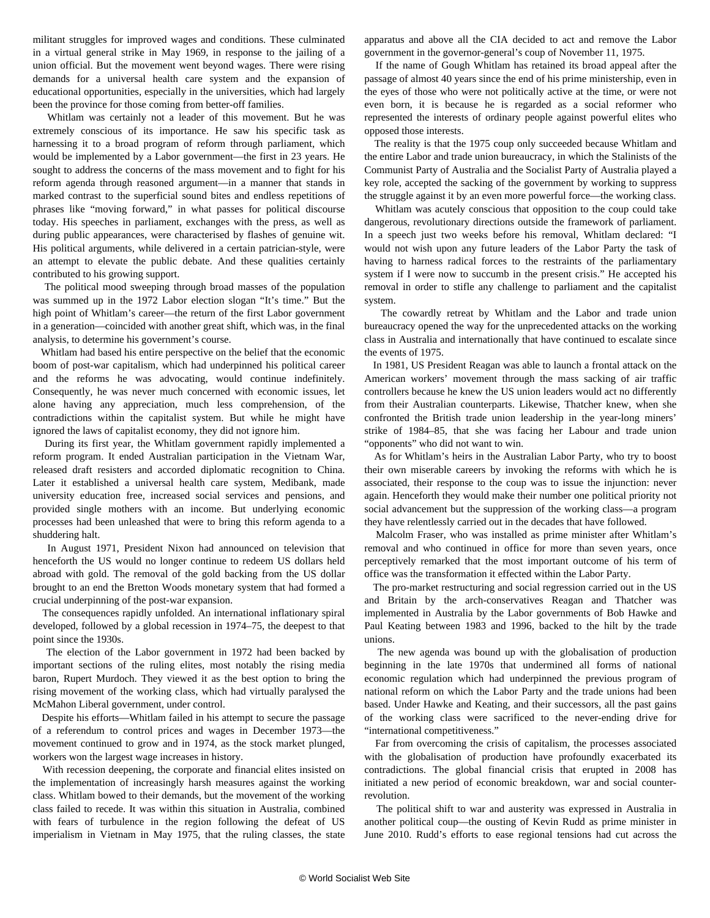militant struggles for improved wages and conditions. These culminated in a virtual general strike in May 1969, in response to the jailing of a union official. But the movement went beyond wages. There were rising demands for a universal health care system and the expansion of educational opportunities, especially in the universities, which had largely been the province for those coming from better-off families.

 Whitlam was certainly not a leader of this movement. But he was extremely conscious of its importance. He saw his specific task as harnessing it to a broad program of reform through parliament, which would be implemented by a Labor government—the first in 23 years. He sought to address the concerns of the mass movement and to fight for his reform agenda through reasoned argument—in a manner that stands in marked contrast to the superficial sound bites and endless repetitions of phrases like "moving forward," in what passes for political discourse today. His speeches in parliament, exchanges with the press, as well as during public appearances, were characterised by flashes of genuine wit. His political arguments, while delivered in a certain patrician-style, were an attempt to elevate the public debate. And these qualities certainly contributed to his growing support.

 The political mood sweeping through broad masses of the population was summed up in the 1972 Labor election slogan "It's time." But the high point of Whitlam's career—the return of the first Labor government in a generation—coincided with another great shift, which was, in the final analysis, to determine his government's course.

 Whitlam had based his entire perspective on the belief that the economic boom of post-war capitalism, which had underpinned his political career and the reforms he was advocating, would continue indefinitely. Consequently, he was never much concerned with economic issues, let alone having any appreciation, much less comprehension, of the contradictions within the capitalist system. But while he might have ignored the laws of capitalist economy, they did not ignore him.

 During its first year, the Whitlam government rapidly implemented a reform program. It ended Australian participation in the Vietnam War, released draft resisters and accorded diplomatic recognition to China. Later it established a universal health care system, Medibank, made university education free, increased social services and pensions, and provided single mothers with an income. But underlying economic processes had been unleashed that were to bring this reform agenda to a shuddering halt.

 In August 1971, President Nixon had announced on television that henceforth the US would no longer continue to redeem US dollars held abroad with gold. The removal of the gold backing from the US dollar brought to an end the Bretton Woods monetary system that had formed a crucial underpinning of the post-war expansion.

 The consequences rapidly unfolded. An international inflationary spiral developed, followed by a global recession in 1974–75, the deepest to that point since the 1930s.

 The election of the Labor government in 1972 had been backed by important sections of the ruling elites, most notably the rising media baron, Rupert Murdoch. They viewed it as the best option to bring the rising movement of the working class, which had virtually paralysed the McMahon Liberal government, under control.

 Despite his efforts—Whitlam failed in his attempt to secure the passage of a referendum to control prices and wages in December 1973—the movement continued to grow and in 1974, as the stock market plunged, workers won the largest wage increases in history.

 With recession deepening, the corporate and financial elites insisted on the implementation of increasingly harsh measures against the working class. Whitlam bowed to their demands, but the movement of the working class failed to recede. It was within this situation in Australia, combined with fears of turbulence in the region following the defeat of US imperialism in Vietnam in May 1975, that the ruling classes, the state apparatus and above all the CIA decided to act and remove the Labor government in the governor-general's coup of November 11, 1975.

 If the name of Gough Whitlam has retained its broad appeal after the passage of almost 40 years since the end of his prime ministership, even in the eyes of those who were not politically active at the time, or were not even born, it is because he is regarded as a social reformer who represented the interests of ordinary people against powerful elites who opposed those interests.

 The reality is that the 1975 coup only succeeded because Whitlam and the entire Labor and trade union bureaucracy, in which the Stalinists of the Communist Party of Australia and the Socialist Party of Australia played a key role, accepted the sacking of the government by working to suppress the struggle against it by an even more powerful force—the working class.

 Whitlam was acutely conscious that opposition to the coup could take dangerous, revolutionary directions outside the framework of parliament. In a speech just two weeks before his removal, Whitlam declared: "I would not wish upon any future leaders of the Labor Party the task of having to harness radical forces to the restraints of the parliamentary system if I were now to succumb in the present crisis." He accepted his removal in order to stifle any challenge to parliament and the capitalist system.

 The cowardly retreat by Whitlam and the Labor and trade union bureaucracy opened the way for the unprecedented attacks on the working class in Australia and internationally that have continued to escalate since the events of 1975.

 In 1981, US President Reagan was able to launch a frontal attack on the American workers' movement through the mass sacking of air traffic controllers because he knew the US union leaders would act no differently from their Australian counterparts. Likewise, Thatcher knew, when she confronted the British trade union leadership in the year-long miners' strike of 1984–85, that she was facing her Labour and trade union "opponents" who did not want to win.

 As for Whitlam's heirs in the Australian Labor Party, who try to boost their own miserable careers by invoking the reforms with which he is associated, their response to the coup was to issue the injunction: never again. Henceforth they would make their number one political priority not social advancement but the suppression of the working class—a program they have relentlessly carried out in the decades that have followed.

 Malcolm Fraser, who was installed as prime minister after Whitlam's removal and who continued in office for more than seven years, once perceptively remarked that the most important outcome of his term of office was the transformation it effected within the Labor Party.

 The pro-market restructuring and social regression carried out in the US and Britain by the arch-conservatives Reagan and Thatcher was implemented in Australia by the Labor governments of Bob Hawke and Paul Keating between 1983 and 1996, backed to the hilt by the trade unions.

 The new agenda was bound up with the globalisation of production beginning in the late 1970s that undermined all forms of national economic regulation which had underpinned the previous program of national reform on which the Labor Party and the trade unions had been based. Under Hawke and Keating, and their successors, all the past gains of the working class were sacrificed to the never-ending drive for "international competitiveness."

 Far from overcoming the crisis of capitalism, the processes associated with the globalisation of production have profoundly exacerbated its contradictions. The global financial crisis that erupted in 2008 has initiated a new period of economic breakdown, war and social counterrevolution.

 The political shift to war and austerity was expressed in Australia in another political coup—the ousting of Kevin Rudd as prime minister in June 2010. Rudd's efforts to ease regional tensions had cut across the